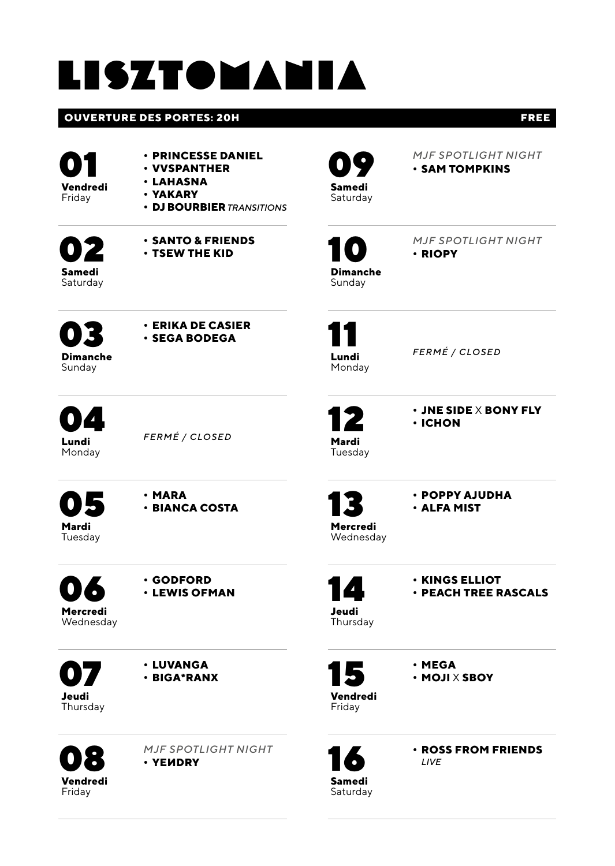# lisztomania

### **OUVERTURE DES PORTES: 20H FREE**

01 **Vendredi Friday** 

- **• PRINCESSE DANIEL**
- **• VVSPANTHER • LAHASNA**
- **• YAKARY**
- - **• DJ BOURBIER** *TRANSITIONS*

02**Samedi**  Saturday



09**Samedi Saturday**  *MJF SPOTLIGHT NIGHT* **• SAM TOMPKINS**



*MJF SPOTLIGHT NIGHT*

Sunday

**• RIOPY**

03 **Dimanche Sunday** 

**• ERIKA DE CASIER • SEGA BODEGA**

11 **Lundi Monday** 

*FERMÉ / CLOSED*

**• ICHON**

**• JNE SIDE** X **BONY FLY**

**04** Monday

*FERMÉ / CLOSED*

05 **Mardi**  Tuesday

**• MARA • BIANCA COSTA**

06

**• GODFORD • LEWIS OFMAN**

**Mercredi**  Wednesday

07**Jeudi Thursday** 

08 **Vendredi Friday** 

**• LUVANGA • BIGA\*RANX**

*MJF SPOTLIGHT NIGHT* **• YEИDRY**

13 **Mercredi** 

12 **Mardi**  Tuesday

> **• POPPY AJUDHA • ALFA MIST**

Wednesday



**• KINGS ELLIOT • PEACH TREE RASCALS**

14**Jeudi** Thursday

15 **Vendredi** 

**• MEGA • MOJI** X **SBOY**

Friday

16**Samedi Saturday** 

**• ROSS FROM FRIENDS**  *LIVE*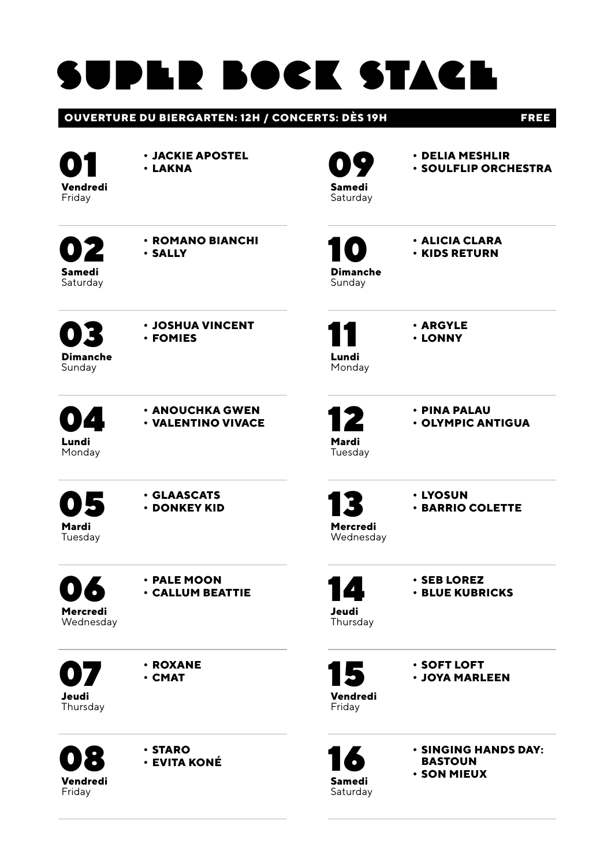# super bock stage

### **OUVERTURE DU BIERGARTEN: 12H / CONCERTS: DÈS 19H FREE**

01 **Vendredi Friday** 

**• JACKIE APOSTEL**

**• LAKNA**

09**Samedi Saturday** 

- **• DELIA MESHLIR**
- **• SOULFLIP ORCHESTRA**

02**Samedi**  Saturday **• ROMANO BIANCHI • SALLY**

**• JOSHUA VINCENT • FOMIES**

10 **Dimanche**

**• ALICIA CLARA • KIDS RETURN**

Sunday

11 **Lundi Monday** 

12 **Mardi**  Tuesday **• ARGYLE • LONNY**

**• PINA PALAU • OLYMPIC ANTIGUA**

**04** Monday

03 **Dimanche Sunday** 



05 **Mardi** 

**• GLAASCATS**

Tuesday

**• DONKEY KID**

06 **Mercredi** 

**• PALE MOON • CALLUM BEATTIE**

Wednesday

07**Jeudi Thursday**  **• ROXANE • CMAT**

08 **Vendredi Friday** 

**• STARO • EVITA KONÉ**



**• LYOSUN**

Wednesday

**• BARRIO COLETTE**

- 14**Jeudi**
- **• SEB LOREZ • BLUE KUBRICKS**

Thursday

15 **Vendredi**  Friday

**• SOFT LOFT • JOYA MARLEEN**

16**Samedi Saturday** 

**• SINGING HANDS DAY: BASTOUN • SON MIEUX**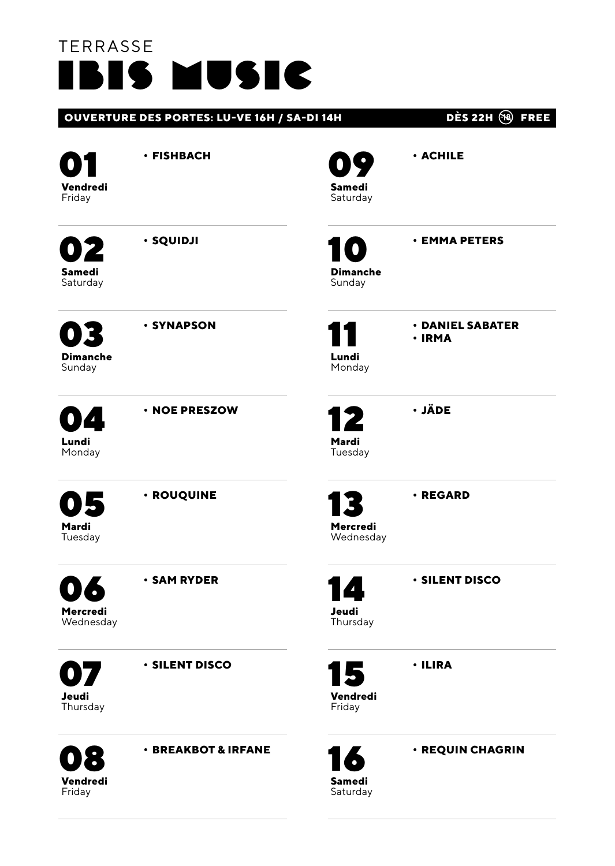## TERRASSE ibis music

**Friday** 

|                                    |                                |                                               | ---<br><b>FAST</b>         |
|------------------------------------|--------------------------------|-----------------------------------------------|----------------------------|
| Vendredi<br>Friday                 | · FISHBACH                     | Samedi<br>Saturday                            | · ACHILE                   |
| 2<br>Samedi<br>Saturday            | · SQUIDJI                      | $\overline{\mathbf{C}}$<br>Dimanche<br>Sunday | <b>· EMMA PETERS</b>       |
| <b>Dimanche</b><br>Sunday          | · SYNAPSON                     | Lundi<br>Monday                               | · DANIEL SABATER<br>· IRMA |
| Д<br>Lundi<br>Monday               | · NOE PRESZOW                  | Mardi<br>Tuesday                              | · JÄDE                     |
| 5<br>Mardi<br>Tuesday              | · ROUQUINE                     | Mercredi<br>Wednesday                         | · REGARD                   |
| $\bullet$<br>Mercredi<br>Wednesday | <b>· SAM RYDER</b>             | 14<br>Jeudi<br>Thursday                       | <b>· SILENT DISCO</b>      |
| 17,<br>Jeudi<br>Thursday           | <b>· SILENT DISCO</b>          | 15<br>Vendredi<br>Friday                      | · ILIRA                    |
| Vendredi                           | <b>· BREAKBOT &amp; IRFANE</b> | Samedi                                        | · REQUIN CHAGRIN           |

**OUVERTURE DES PORTES: LU-VE 16H / SA-DI 14H DÈS 22H FREE**

Saturday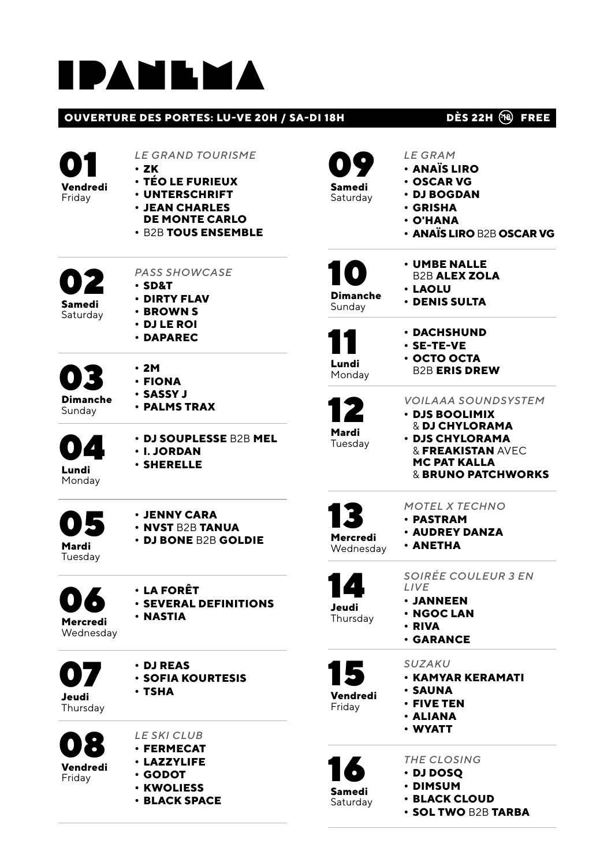# ipanema

### **OUVERTURE DES PORTES: LU-VE 20H / SA-DI 18H DÈS 22H (R) FREE**



| Vendredi<br>Friday        | <b>LE GRAND TOURISME</b><br>· ZK<br>· TÉO LE FURIEUX<br>· UNTERSCHRIFT<br>· JEAN CHARLES<br><b>DE MONTE CARLO</b><br>· B2B TOUS ENSEMBLE |
|---------------------------|------------------------------------------------------------------------------------------------------------------------------------------|
| Samedi<br>Saturday        | <b>PASS SHOWCASE</b><br>· SD&T<br>· DIRTY FLAV<br><b>· BROWN S</b><br>• DJ LE ROI<br>· DAPAREC                                           |
| <b>Dimanche</b><br>Sunday | • 2M<br>· FIONA<br>· SASSY J<br>· PALMS TRAX                                                                                             |
| 04<br>Lundi<br>Monday     | · DJ SOUPLESSE B2B MEL<br><b>· I. JORDAN</b><br><b>· SHERELLE</b>                                                                        |
| Mardi<br>Tuesday          | <b>· JENNY CARA</b><br><b>· NVST B2B TANUA</b><br><b>· DJ BONE B2B GOLDIE</b>                                                            |
| Mercredi<br>Wednesday     | • LA FORÊT<br><b>· SEVERAL DEFINITIONS</b><br><b>· NASTIA</b>                                                                            |
| Jeudi<br>Thursday         | <b>· DJ REAS</b><br><b>· SOFIA KOURTESIS</b><br>· TSHA                                                                                   |
| Vendredi<br>Friday        | LE SKI CLUB<br><b>· FERMECAT</b><br><b>· LAZZYLIFE</b><br>· GODOT                                                                        |

- **• KWOLIESS**
- **• BLACK SPACE**

| Samedi   |
|----------|
| Saturday |
|          |

- *LE GRAM* **• ANAÏS LIRO • OSCAR VG**
- **• DJ BOGDAN**
- **• GRISHA**
- **• O'HANA**
- **• ANAÏS LIRO** B2B **OSCAR VG**



**• UMBE NALLE**  B2B **ALEX ZOLA**

Sunday

**• LAOLU • DENIS SULTA**

- 11 **Lundi**
- **• DACHSHUND • SE-TE-VE • OCTO OCTA**

Monday

B2B **ERIS DREW**



*VOILAAA SOUNDSYSTEM*

**• DJS BOOLIMIX**  & **DJ CHYLORAMA**

**• DJS CHYLORAMA**  & **FREAKISTAN** AVEC **MC PAT KALLA**  & **BRUNO PATCHWORKS**

- - *MOTEL X TECHNO*
	- **• PASTRAM**
	- **• AUDREY DANZA**
- **Wednesday**
- **• ANETHA**
- 

*SOIRÉE COULEUR 3 EN LIVE*

- 
- 
- **• RIVA**
- 



*SUZAKU*

Friday

- **• KAMYAR KERAMATI • SAUNA**
- **• FIVE TEN**
- **• ALIANA**
- **• WYATT**



*THE CLOSING* **• DJ DOSQ**

- 
- **• DIMSUM**
- **• BLACK CLOUD**
- **• SOL TWO** B2B **TARBA**
- 
- 
- 

- 13 **Mercredi**
- 

### 14**Jeudi** Thursday

- **• JANNEEN • NGOC LAN**
- - **• GARANCE**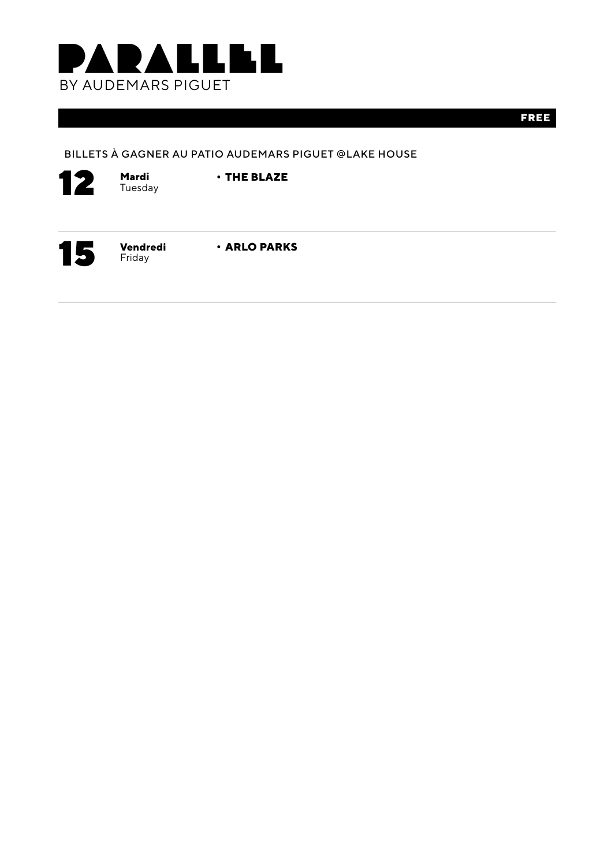

**FREE**

### BILLETS À GAGNER AU PATIO AUDEMARS PIGUET @LAKE HOUSE



Tuesday

**• THE BLAZE**



Friday

**• ARLO PARKS**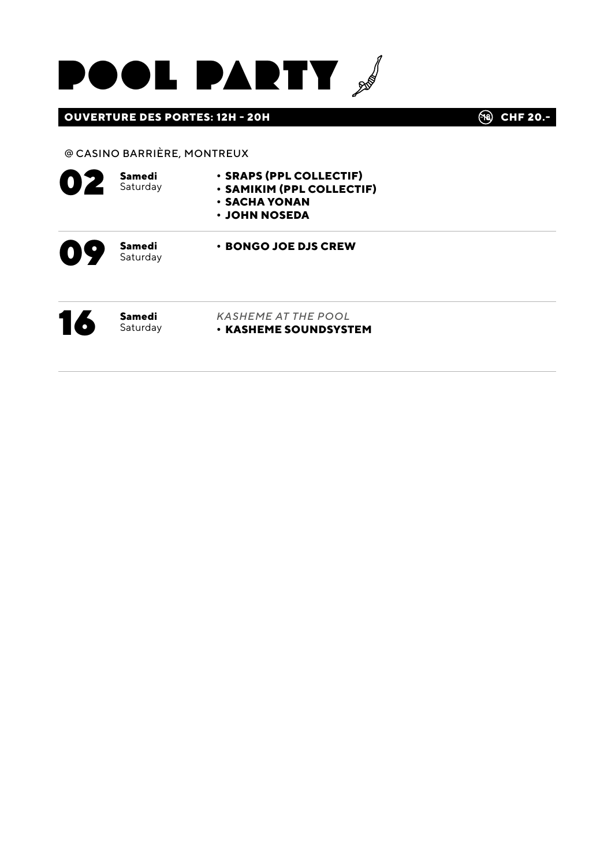

### **OUVERTURE DES PORTES: 12H - 20H CHE 20.-** (R) CHF 20.-

### @ CASINO BARRIÈRE, MONTREUX

| OZ | Samedi<br>Saturday | · SRAPS (PPL COLLECTIF)<br>· SAMIKIM (PPL COLLECTIF)<br><b>· SACHA YONAN</b><br>• JOHN NOSEDA |  |
|----|--------------------|-----------------------------------------------------------------------------------------------|--|
| OS | Samedi<br>Saturday | • BONGO JOE DJS CREW                                                                          |  |
| 16 | Samedi<br>Saturday | <b>KASHEME AT THE POOL</b><br><b>· KASHEME SOUNDSYSTEM</b>                                    |  |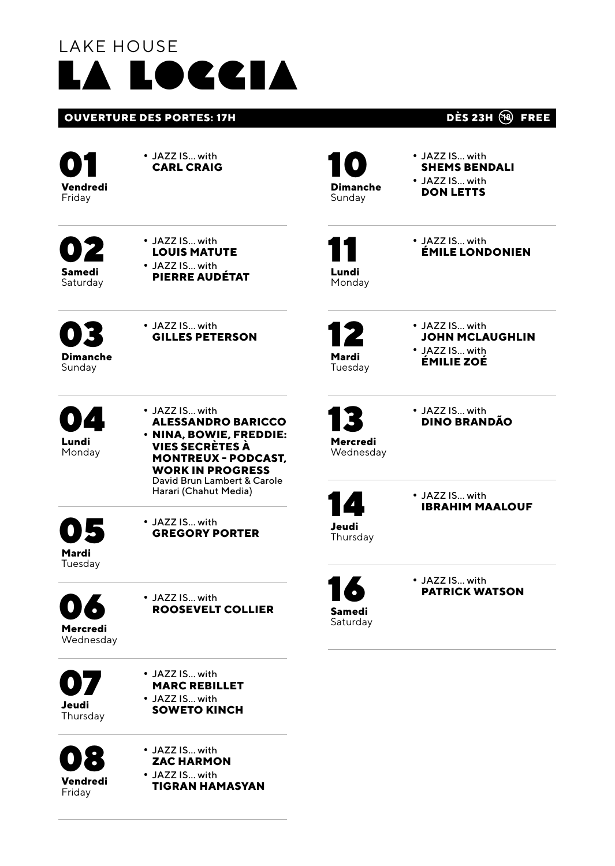## LAKE HOUSE la loggia

### **OUVERTURE DES PORTES: 17H COUVERTURE DES PORTES: 17H**

01 **Vendredi Friday** 

02**Samedi Saturday**  **•** JAZZ IS… with **CARL CRAIG**

**•** JAZZ IS… with **LOUIS MATUTE •** JAZZ IS… with **PIERRE AUDÉTAT**

**•** JAZZ IS… with **GILLES PETERSON**

10 **Dimanche Sunday** 

**•** JAZZ IS… with **SHEMS BENDALI •** JAZZ IS… with **DON LETTS**

11 **Lundi**  **•** JAZZ IS… with **ÉMILE LONDONIEN**

Monday

12 **Mardi Tuesday**  **•** JAZZ IS… with **JOHN MCLAUGHLIN**

**•** JAZZ IS… with **ÉMILIE ZOÉ**

13 **Mercredi** 

**•** JAZZ IS… with **DINO BRANDÃO**

Wednesday

**•** JAZZ IS… with **IBRAHIM MAALOUF**

14**Jeudi** Thursday

16**Samedi**  Saturday **•** JAZZ IS… with **PATRICK WATSON**

03 **Dimanche Sunday** 

04**Lundi**  Monday **•** JAZZ IS… with **ALESSANDRO BARICCO • NINA, BOWIE, FREDDIE: VIES SECRÈTES À MONTREUX - PODCAST, WORK IN PROGRESS**  David Brun Lambert & Carole Harari (Chahut Media)

05 **Mardi**  Tuesday

**•** JAZZ IS… with **GREGORY PORTER**

06 **Mercredi** 

**•** JAZZ IS… with **ROOSEVELT COLLIER**

Wednesday

07**Jeudi Thursday** 



**•** JAZZ IS… with



**•** JAZZ IS… with **ZAC HARMON •** JAZZ IS… with **TIGRAN HAMASYAN**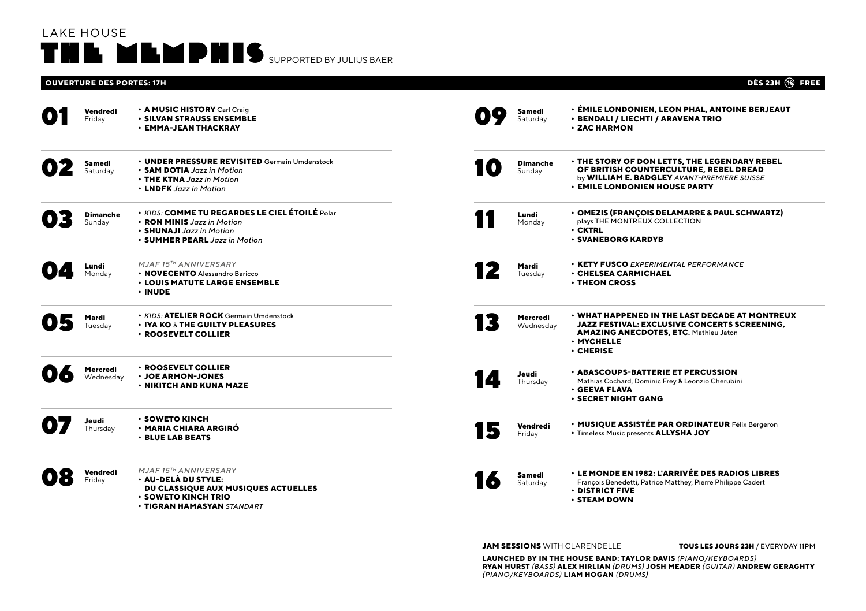### LAKE HOUSE THE MEMPHIS SUPPORTED BY JULIUS BAER

### **OUVERTURE DES PORTES: 17H DÈS 23H FREE**

| Vendredi<br>Friday        | • A MUSIC HISTORY Carl Craig<br><b>· SILVAN STRAUSS ENSEMBLE</b><br><b>· EMMA-JEAN THACKRAY</b>                                                              |           | Samedi<br>Saturdav |                       | <b>· ÉMILE LONDONIEN, LEON PHAL, ANTOINE BERJEAUT</b><br>· BENDALI / LIECHTI / ARAVENA TRIO<br><b>· ZAC HARMON</b>                                                                            |
|---------------------------|--------------------------------------------------------------------------------------------------------------------------------------------------------------|-----------|--------------------|-----------------------|-----------------------------------------------------------------------------------------------------------------------------------------------------------------------------------------------|
| Samedi<br>Saturday        | • UNDER PRESSURE REVISITED Germain Umdenstock<br>• SAM DOTIA Jazz in Motion<br>• THE KTNA Jazz in Motion<br>• LNDFK Jazz in Motion                           | $\bullet$ | Sunday             | <b>Dimanche</b>       | <b>. THE STORY OF DON LETTS, THE LEGENDARY REBEL</b><br>OF BRITISH COUNTERCULTURE. REBEL DREAD<br>by WILLIAM E. BADGLEY AVANT-PREMIERE SUISSE<br><b>· EMILE LONDONIEN HOUSE PARTY</b>         |
| <b>Dimanche</b><br>Sunday | • KIDS: COMME TU REGARDES LE CIEL ÉTOILÉ Polar<br>• RON MINIS Jazz in Motion<br>• SHUNAJI Jazz in Motion<br>• SUMMER PEARL Jazz in Motion                    |           | Lundi<br>Monday    |                       | · OMEZIS (FRANÇOIS DELAMARRE & PAUL SCHWARTZ)<br>plays THE MONTREUX COLLECTION<br>$\cdot$ CKTRL<br><b>· SVANEBORG KARDYB</b>                                                                  |
| Lundi<br>Monday           | MJAF 15TH ANNIVERSARY<br>• NOVECENTO Alessandro Baricco<br><b>· LOUIS MATUTE LARGE ENSEMBLE</b><br>· INUDE                                                   |           | Mardi<br>Tuesdav   |                       | <b>• KETY FUSCO</b> EXPERIMENTAL PERFORMANCE<br><b>· CHELSEA CARMICHAEL</b><br><b>· THEON CROSS</b>                                                                                           |
| Mardi<br>Tuesdav          | . KIDS: ATELIER ROCK Germain Umdenstock<br><b>· IYA KO &amp; THE GUILTY PLEASURES</b><br>· ROOSEVELT COLLIER                                                 |           |                    | Mercredi<br>Wednesdav | <b>• WHAT HAPPENED IN THE LAST DECADE AT MONTREUX</b><br><b>JAZZ FESTIVAL: EXCLUSIVE CONCERTS SCREENING.</b><br><b>AMAZING ANECDOTES, ETC. Mathieu Jaton</b><br>· MYCHELLE<br>$\cdot$ CHERISE |
| Mercredi<br>Wednesdav     | · ROOSEVELT COLLIER<br><b>· JOE ARMON-JONES</b><br><b>· NIKITCH AND KUNA MAZE</b>                                                                            | 10        | Jeudi              | Thursday              | <b>· ABASCOUPS-BATTERIE ET PERCUSSION</b><br>Mathias Cochard, Dominic Frey & Leonzio Cherubini<br><b>· GEEVA FLAVA</b><br><b>· SECRET NIGHT GANG</b>                                          |
| Jeudi<br>Thursday         | <b>· SOWETO KINCH</b><br><b>· MARIA CHIARA ARGIRÓ</b><br><b>· BLUE LAB BEATS</b>                                                                             |           | Friday             | Vendredi              | · MUSIQUE ASSISTÉE PAR ORDINATEUR Félix Bergeron<br>. Timeless Music presents ALLYSHA JOY                                                                                                     |
| Vendredi<br>Fridav        | <b>MJAF15TH ANNIVERSARY</b><br>· AU-DELÀ DU STYLE:<br>DU CLASSIQUE AUX MUSIQUES ACTUELLES<br><b>· SOWETO KINCH TRIO</b><br><b>• TIGRAN HAMASYAN</b> STANDART |           | Samedi<br>Saturday |                       | <b>• LE MONDE EN 1982: L'ARRIVÉE DES RADIOS LIBRES</b><br>François Benedetti, Patrice Matthey, Pierre Philippe Cadert<br>$\cdot$ DISTRICT FIVE<br><b>· STEAM DOWN</b>                         |

**JAM SESSIONS** WITH CLARENDELLE **TOUS LES JOURS 23H** / EVERYDAY 11PM

**LAUNCHED BY IN THE HOUSE BAND: TAYLOR DAVIS** *(PIANO/KEYBOARDS)* **RYAN HURST** *(BASS)* **ALEX HIRLIAN** *(DRUMS)* **JOSH MEADER** *(GUITAR)* **ANDREW GERAGHTY**  *(PIANO/KEYBOARDS)* **LIAM HOGAN** *(DRUMS)*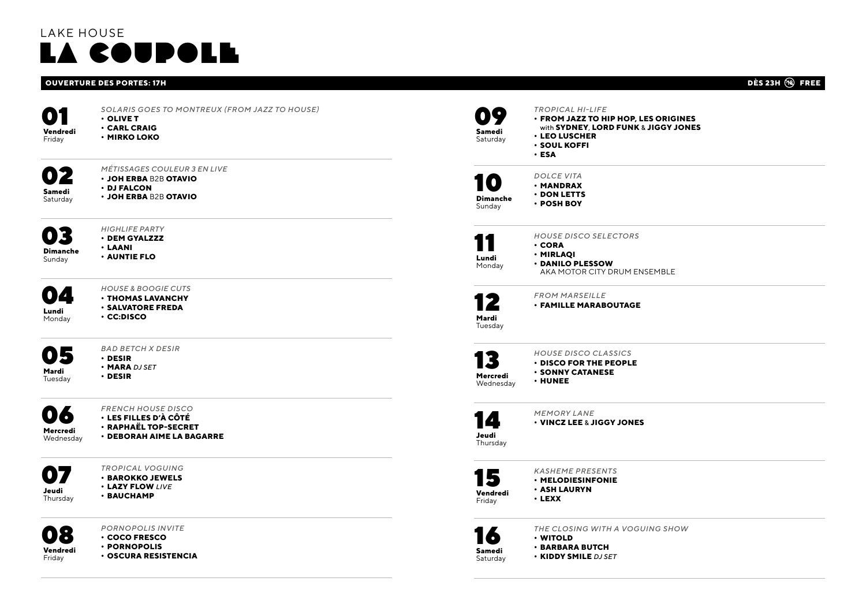### LAKE HOUSE la coupole

### **OUVERTURE DES PORTES: 17H DÈS 23H FREE**

**• OLIVE T • CARL CRAIG • MIRKO LOKO**



*MÉTISSAGES COULEUR 3 EN LIVE*

*SOLARIS GOES TO MONTREUX (FROM JAZZ TO HOUSE)*

- **• JOH ERBA** B2B **OTAVIO • DJ FALCON**
- **Saturday** 
	- **• JOH ERBA** B2B **OTAVIO**



*HIGHLIFE PARTY* **• DEM GYALZZZ • AUNTIE FLO**

**Sunday** 

- **04** Monday
- *HOUSE & BOOGIE CUTS* **• THOMAS LAVANCHY**

**• LAANI**

- **• SALVATORE FREDA**
- **• CC:DISCO**



*BAD BETCH X DESIR*

- **• DESIR • MARA** *DJ SET*
- **• DESIR**

Tuesday



*FRENCH HOUSE DISCO* **• LES FILLES D'À CÔTÉ**

- **• RAPHAËL TOP-SECRET**
- **• DEBORAH AIME LA BAGARRE**



*TROPICAL VOGUING* **• BAROKKO JEWELS • LAZY FLOW** *LIVE*

**• BAUCHAMP**



*PORNOPOLIS INVITE* **• COCO FRESCO**

- **• PORNOPOLIS**
- **• OSCURA RESISTENCIA**

| Samedi<br>Saturdav    | <b>TROPICAL HI-LIFE</b><br>· FROM JAZZ TO HIP HOP, LES ORIGINES<br>with SYDNEY, LORD FUNK & JIGGY JONES<br><b>· LEO LUSCHER</b><br><b>· SOUL KOFFI</b><br>· ESA |
|-----------------------|-----------------------------------------------------------------------------------------------------------------------------------------------------------------|
| Dimanche<br>Sundav    | <b>DOLCE VITA</b><br><b>· MANDRAX</b><br><b>· DON LETTS</b><br>· POSH BOY                                                                                       |
| Lundi<br>Mondav       | <b>HOUSE DISCO SELECTORS</b><br>• CORA<br>· MIRLAOI<br>· DANILO PLESSOW<br>AKA MOTOR CITY DRUM ENSEMBLE                                                         |
| Mardi<br>Tuesday      | <b>FROM MARSEILLE</b><br><b>· FAMILLE MARABOUTAGE</b>                                                                                                           |
| Mercredi<br>Wednesday | <b>HOUSE DISCO CLASSICS</b><br><b>· DISCO FOR THE PEOPLE</b><br><b>· SONNY CATANESE</b><br>· HUNEE                                                              |
| Jeudi<br>Thursday     | <b>MEMORY LANE</b><br><b>• VINCZ LEE &amp; JIGGY JONES</b>                                                                                                      |

15 **Vendredi**  Friday

13

*KASHEME PRESENTS* **• MELODIESINFONIE** 

**• ASH LAURYN • LEXX**



*THE CLOSING WITH A VOGUING SHOW* **• WITOLD**

**• BARBARA BUTCH**

**• KIDDY SMILE** *DJ SET*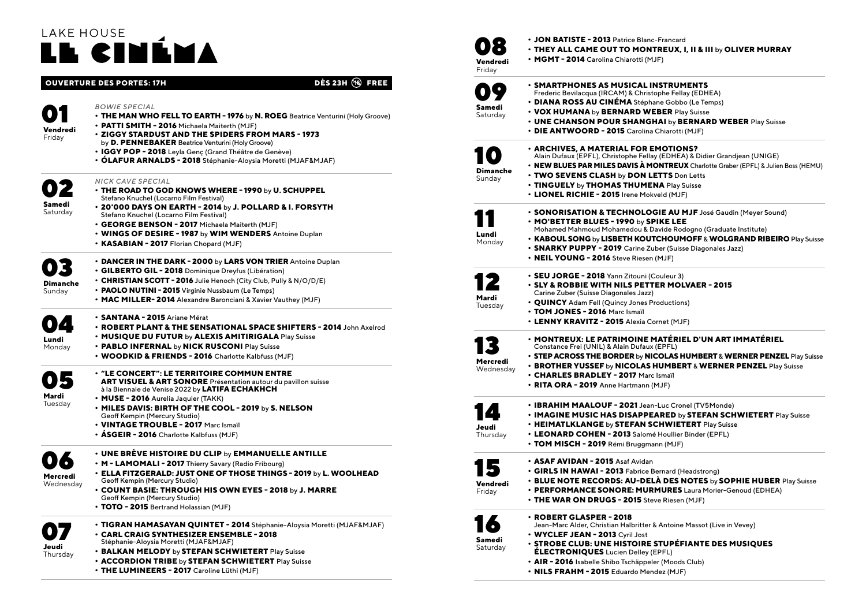## LAKE HOUSE l**l cin**éi

### **OUVERTURE DES PORTES: 17H DÈS 23H FREE**

#### *BOWIE SPECIAL*

- **• THE MAN WHO FELL TO EARTH 1976** by **N. ROEG** Beatrice Venturini (Holy Groove)
- **• PATTI SMITH 2016** Michaela Maiterth (MJF)
- **• ZIGGY STARDUST AND THE SPIDERS FROM MARS 1973**
- by **D. PENNEBAKER** Beatrice Venturini (Holy Groove)
- **• IGGY POP 2018** Leyla Genç (Grand Théâtre de Genève)
- **• ÓLAFUR ARNALDS 2018** Stéphanie-Aloysia Moretti (MJAF&MJAF)

#### *NICK CAVE SPECIAL*

02**Samedi**  Saturday

01 **Vendredi** Friday

- **• THE ROAD TO GOD KNOWS WHERE 1990** by **U. SCHUPPEL** Stefano Knuchel (Locarno Film Festival)
- **• 20'000 DAYS ON EARTH 2014** by **J. POLLARD & I. FORSYTH** Stefano Knuchel (Locarno Film Festival)
- **• GEORGE BENSON 2017** Michaela Maiterth (MJF)
- **• WINGS OF DESIRE 1987** by **WIM WENDERS** Antoine Duplan
- **• KASABIAN 2017** Florian Chopard (MJF)

### **• DANCER IN THE DARK - 2000** by **LARS VON TRIER** Antoine Duplan

- **• GILBERTO GIL 2018** Dominique Dreyfus (Libération)
- 03 **Dimanche • CHRISTIAN SCOTT - 2016** Julie Henoch (City Club, Pully & N/O/D/E)
	- **• PAOLO NUTINI 2015** Virginie Nussbaum (Le Temps)
	- **• MAC MILLER- 2014** Alexandre Baronciani & Xavier Vauthey (MJF)
- **04** 
	- **• SANTANA 2015** Ariane Mérat **• ROBERT PLANT & THE SENSATIONAL SPACE SHIFTERS - 2014** John Axelrod
	- **• MUSIQUE DU FUTUR** by **ALEXIS AMITIRIGALA** Play Suisse
	- **• PABLO INFERNAL** by **NICK RUSCONI** Play Suisse
	- **• WOODKID & FRIENDS 2016** Charlotte Kalbfuss (MJF)
- 05 **Mardi**  Tuesday

Monday

Sunday

- **• "LE CONCERT": LE TERRITOIRE COMMUN ENTRE ART VISUEL & ART SONORE** Présentation autour du pavillon suisse à la Biennale de Venise 2022 by **LATIFA ECHAKHCH**
- **• MUSE 2016** Aurelia Jaquier (TAKK)
- **• MILES DAVIS: BIRTH OF THE COOL 2019** by **S. NELSON** Geoff Kempin (Mercury Studio)
- **• VINTAGE TROUBLE 2017** Marc Ismaïl
- **• ÁSGEIR 2016** Charlotte Kalbfuss (MJF)



- **• UNE BRÈVE HISTOIRE DU CLIP** by **EMMANUELLE ANTILLE • M - LAMOMALI - 2017** Thierry Savary (Radio Fribourg)
- **• ELLA FITZGERALD: JUST ONE OF THOSE THINGS 2019** by **L. WOOLHEAD** Geoff Kempin (Mercury Studio)
	- **• COUNT BASIE: THROUGH HIS OWN EYES 2018** by **J. MARRE** Geoff Kempin (Mercury Studio)
	- **• TOTO 2015** Bertrand Holassian (MJF)



- **• TIGRAN HAMASAYAN QUINTET 2014** Stéphanie-Aloysia Moretti (MJAF&MJAF) **• CARL CRAIG SYNTHESIZER ENSEMBLE - 2018**  Stéphanie-Aloysia Moretti (MJAF&MJAF)
- **• BALKAN MELODY** by **STEFAN SCHWIETERT** Play Suisse
- **• ACCORDION TRIBE** by **STEFAN SCHWIETERT** Play Suisse
- **• THE LUMINEERS 2017** Caroline Lüthi (MJF)

| lendredi |
|----------|
|          |

09**Samedi**  Saturday

10 **Dimanche** Sunday

11 **Lundi Monday** 

Tuesday

13 **Mercredi** 

14**Jeudi Thursday** 

15 **Vendredi**  Friday

**• JON BATISTE - 2013** Patrice Blanc-Francard **• THEY ALL CAME OUT TO MONTREUX, I, II & III** by **OLIVER MURRAY • MGMT - 2014** Carolina Chiarotti (MJF) **• SMARTPHONES AS MUSICAL INSTRUMENTS**  Frederic Bevilacqua (IRCAM) & Christophe Fellay (EDHEA) **• DIANA ROSS AU CINÉMA** Stéphane Gobbo (Le Temps) **• VOX HUMANA** by **BERNARD WEBER** Play Suisse **• UNE CHANSON POUR SHANGHAI** by **BERNARD WEBER** Play Suisse **• DIE ANTWOORD - 2015** Carolina Chiarotti (MJF) **• ARCHIVES, A MATERIAL FOR EMOTIONS?**  Alain Dufaux (EPFL), Christophe Fellay (EDHEA) & Didier Grandjean (UNIGE) **• NEW BLUES PAR MILES DAVIS À MONTREUX** Charlotte Graber (EPFL) & Julien Boss (HEMU) **• TWO SEVENS CLASH** by **DON LETTS** Don Letts **• TINGUELY** by **THOMAS THUMENA** Play Suisse **• LIONEL RICHIE - 2015** Irene Mokveld (MJF)

- **• SONORISATION & TECHNOLOGIE AU MJF** José Gaudin (Meyer Sound) **• MO'BETTER BLUES - 1990** by **SPIKE LEE** Mohamed Mahmoud Mohamedou & Davide Rodogno (Graduate Institute) **• KABOUL SONG** by **LISBETH KOUTCHOUMOFF** & **WOLGRAND RIBEIRO** Play Suisse
- **• SNARKY PUPPY 2019** Carine Zuber (Suisse Diagonales Jazz)
	- **• NEIL YOUNG 2016** Steve Riesen (MJF)

# 12 **Mardi**

**• SEU JORGE - 2018** Yann Zitouni (Couleur 3) **• SLY & ROBBIE WITH NILS PETTER MOLVAER - 2015**  Carine Zuber (Suisse Diagonales Jazz) **• QUINCY** Adam Fell (Quincy Jones Productions) **• TOM JONES - 2016** Marc Ismaïl **• LENNY KRAVITZ - 2015** Alexia Cornet (MJF) Wednesday **• MONTREUX: LE PATRIMOINE MATÉRIEL D'UN ART IMMATÉRIEL**  Constance Frei (UNIL) & Alain Dufaux (EPFL) **• STEP ACROSS THE BORDER** by **NICOLAS HUMBERT** & **WERNER PENZEL** Play Suisse **• BROTHER YUSSEF** by **NICOLAS HUMBERT** & **WERNER PENZEL** Play Suisse **• CHARLES BRADLEY - 2017** Marc Ismaïl **• RITA ORA - 2019** Anne Hartmann (MJF) **• IBRAHIM MAALOUF - 2021** Jean-Luc Cronel (TV5Monde) **• IMAGINE MUSIC HAS DISAPPEARED** by **STEFAN SCHWIETERT** Play Suisse **• HEIMATLKLANGE** by **STEFAN SCHWIETERT** Play Suisse **• LEONARD COHEN - 2013** Salomé Houllier Binder (EPFL) **• TOM MISCH - 2019** Rémi Bruggmann (MJF) **• ASAF AVIDAN - 2015** Asaf Avidan **• GIRLS IN HAWAI - 2013** Fabrice Bernard (Headstrong) **• BLUE NOTE RECORDS: AU-DELÀ DES NOTES** by **SOPHIE HUBER** Play Suisse **• PERFORMANCE SONORE: MURMURES** Laura Morier-Genoud (EDHEA) **• THE WAR ON DRUGS - 2015** Steve Riesen (MJF) **• ROBERT GLASPER - 2018** Jean-Marc Alder, Christian Halbritter & Antoine Massot (Live in Vevey)



- **• WYCLEF JEAN 2013** Cyril Jost **• STROBE CLUB: UNE HISTOIRE STUPÉFIANTE DES MUSIQUES**
- **ÉLECTRONIQUES** Lucien Delley (EPFL)
	- **• AIR 2016** Isabelle Shibo Tschäppeler (Moods Club)
	- **• NILS FRAHM 2015** Eduardo Mendez (MJF)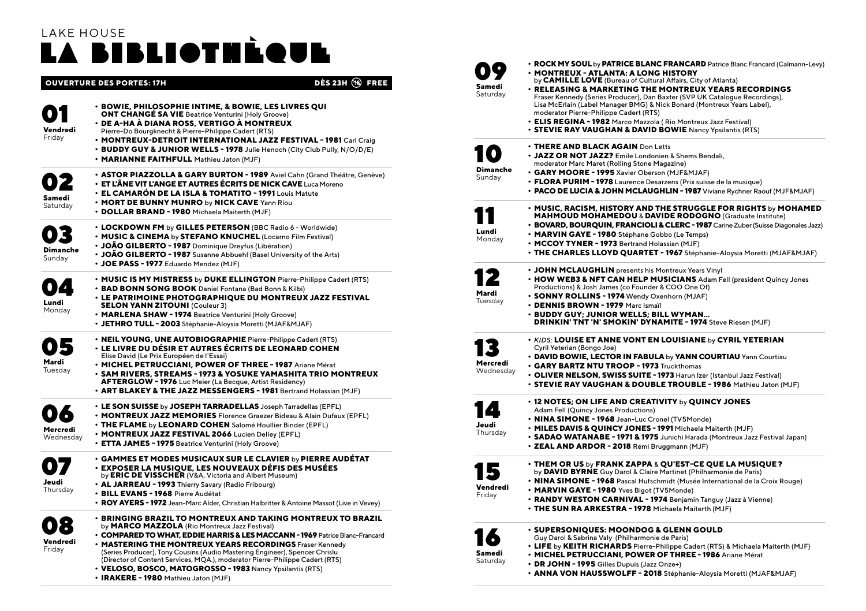## LAKE HOUSE la bibliothèque

|                       | <b>DES 23H (18)</b><br><b>OUVERTURE DES PORTES: 17H</b><br>FREE                                                                                                                                                                                                                                                                                                                                                                                                                                                                     | San<br>Satı |
|-----------------------|-------------------------------------------------------------------------------------------------------------------------------------------------------------------------------------------------------------------------------------------------------------------------------------------------------------------------------------------------------------------------------------------------------------------------------------------------------------------------------------------------------------------------------------|-------------|
| Vendredi<br>Friday    | · BOWIE, PHILOSOPHIE INTIME, & BOWIE, LES LIVRES QUI<br><b>ONT CHANGÉ SA VIE</b> Beatrice Venturini (Holy Groove)<br>• DE A-HA À DIANA ROSS, VERTIGO À MONTREUX<br>Pierre-Do Bourgknecht & Pierre-Philippe Cadert (RTS)<br>• MONTREUX-DETROIT INTERNATIONAL JAZZ FESTIVAL - 1981 Carl Craig<br>• BUDDY GUY & JUNIOR WELLS - 1978 Julie Henoch (City Club Pully, N/O/D/E)<br>. MARIANNE FAITHFULL Mathieu Jaton (MJF)                                                                                                                |             |
| Samedi<br>Saturday    | • ASTOR PIAZZOLLA & GARY BURTON - 1989 Aviel Cahn (Grand Théâtre, Genève)<br>$\cdot$ ET L'ÂNE VIT L'ANGE ET AUTRES ÉCRITS DE NICK CAVE Luca Moreno<br>• EL CAMARÓN DE LA ISLA & TOMATITO - 1991 Louis Matute<br>. MORT DE BUNNY MUNRO by NICK CAVE Yann Riou<br>• DOLLAR BRAND - 1980 Michaela Maiterth (MJF)                                                                                                                                                                                                                       | Din<br>Sun  |
| Dimanche<br>Sunday    | • LOCKDOWN FM by GILLES PETERSON (BBC Radio 6 - Worldwide)<br>• MUSIC & CINEMA by STEFANO KNUCHEL (Locarno Film Festival)<br>• JOÃO GILBERTO - 1987 Dominique Dreyfus (Libération)<br>• JOÃO GILBERTO - 1987 Susanne Abbuehl (Basel University of the Arts)<br>· JOE PASS - 1977 Eduardo Mendez (MJF)                                                                                                                                                                                                                               | Lur<br>Mo   |
| Lundi<br>Monday       | . MUSIC IS MY MISTRESS by DUKE ELLINGTON Pierre-Philippe Cadert (RTS)<br>• BAD BONN SONG BOOK Daniel Fontana (Bad Bonn & Kilbi)<br><b>· LE PATRIMOINE PHOTOGRAPHIQUE DU MONTREUX JAZZ FESTIVAL</b><br><b>SELON YANN ZITOUNI (Couleur 3)</b><br>• MARLENA SHAW - 1974 Beatrice Venturini (Holy Groove)<br>· JETHRO TULL - 2003 Stéphanie-Aloysia Moretti (MJAF&MJAF)                                                                                                                                                                 | Ma<br>Tue   |
| Mardi<br>Tuesday      | • NEIL YOUNG, UNE AUTOBIOGRAPHIE Pierre-Philippe Cadert (RTS)<br>• LE LIVRE DU DÉSIR ET AUTRES ÉCRITS DE LEONARD COHEN<br>Elise David (Le Prix Européen de l'Essai)<br>• MICHEL PETRUCCIANI, POWER OF THREE - 1987 Ariane Mérat<br><b>• SAM RIVERS. STREAMS - 1973 &amp; YOSUKE YAMASHITA TRIO MONTREUX</b><br>AFTERGLOW - 1976 Luc Meier (La Becque, Artist Residency)<br>• ART BLAKEY & THE JAZZ MESSENGERS - 1981 Bertrand Holassian (MJF)                                                                                       | Me<br>We    |
| Mercredi<br>Wednesday | • LE SON SUISSE by JOSEPH TARRADELLAS Joseph Tarradellas (EPFL)<br>. MONTREUX JAZZ MEMORIES Florence Graezer Bideau & Alain Dufaux (EPFL)<br>• THE FLAME by LEONARD COHEN Salomé Houllier Binder (EPFL)<br>• MONTREUX JAZZ FESTIVAL 2066 Lucien Delley (EPFL)<br>• ETTA JAMES - 1975 Beatrice Venturini (Holy Groove)                                                                                                                                                                                                               | Jeu<br>Thu  |
| Jeudi<br>Thursday     | • GAMMES ET MODES MUSICAUX SUR LE CLAVIER by PIERRE AUDÉTAT<br>· EXPOSER LA MUSIQUE, LES NOUVEAUX DÉFIS DES MUSÉES<br>by ERIC DE VISSCHER (V&A, Victoria and Albert Museum)<br>. AL JARREAU - 1993 Thierry Savary (Radio Fribourg)<br>• BILL EVANS - 1968 Pierre Audétat<br>• ROY AYERS - 1972 Jean-Marc Alder, Christian Halbritter & Antoine Massot (Live in Vevey)                                                                                                                                                               | Ver<br>Fric |
| Vendredi<br>Friday    | <b>• BRINGING BRAZIL TO MONTREUX AND TAKING MONTREUX TO BRAZIL</b><br>by MARCO MAZZOLA (Rio Montreux Jazz Festival)<br>• COMPARED TO WHAT, EDDIE HARRIS & LES MACCANN - 1969 Patrice Blanc-Francard<br>. MASTERING THE MONTREUX YEARS RECORDINGS Fraser Kennedy<br>(Series Producer), Tony Cousins (Audio Mastering Engineer), Spencer Chrislu<br>(Director of Content Services, MQA.), moderator Pierre-Philippe Cadert (RTS)<br>• VELOSO, BOSCO, MATOGROSSO - 1983 Nancy Ypsilantis (RTS)<br>• IRAKERE - 1980 Mathieu Jaton (MJF) | San<br>Satı |

| Samedi<br>Saturday     | • ROCK MY SOUL by PATRICE BLANC FRANCARD Patrice Blanc Francard (Calmann-Levy)<br>• MONTREUX - ATLANTA: A LONG HISTORY<br>by CAMILLE LOVE (Bureau of Cultural Affairs, City of Atlanta)<br>· RELEASING & MARKETING THE MONTREUX YEARS RECORDINGS<br>Fraser Kennedy (Series Producer), Dan Baxter (SVP UK Catalogue Recordings),<br>Lisa McErlain (Label Manager BMG) & Nick Bonard (Montreux Years Label),<br>moderator Pierre-Philippe Cadert (RTS)<br>• ELIS REGINA - 1982 Marco Mazzola (Rio Montreux Jazz Festival)<br>• STEVIE RAY VAUGHAN & DAVID BOWIE Nancy Ypsilantis (RTS) |
|------------------------|--------------------------------------------------------------------------------------------------------------------------------------------------------------------------------------------------------------------------------------------------------------------------------------------------------------------------------------------------------------------------------------------------------------------------------------------------------------------------------------------------------------------------------------------------------------------------------------|
| Dimanche<br>Sunday     | <b>. THERE AND BLACK AGAIN Don Letts</b><br>. JAZZ OR NOT JAZZ? Emile Londonien & Shems Bendali,<br>moderator Marc Maret (Rolling Stone Magazine)<br>• GARY MOORE - 1995 Xavier Oberson (MJF&MJAF)<br>. FLORA PURIM - 1978 Laurence Desarzens (Prix suisse de la musique)<br>• PACO DE LUCIA & JOHN MCLAUGHLIN - 1987 Viviane Rychner Raouf (MJF&MJAF)                                                                                                                                                                                                                               |
| Lundi<br>Monday        | • MUSIC, RACISM, HISTORY AND THE STRUGGLE FOR RIGHTS by MOHAMED<br>MAHMOUD MOHAMEDOU & DAVIDE RODOGNO (Graduate Institute)<br>• BOVARD, BOURQUIN, FRANCIOLI & CLERC - 1987 Carine Zuber (Suisse Diagonales Jazz)<br>• MARVIN GAYE - 1980 Stéphane Gobbo (Le Temps)<br>• MCCOY TYNER - 1973 Bertrand Holassian (MJF)<br>• THE CHARLES LLOYD QUARTET - 1967 Stéphanie-Aloysia Moretti (MJAF&MJAF)                                                                                                                                                                                      |
| Mardi<br>Tuesday       | • JOHN MCLAUGHLIN presents his Montreux Years Vinyl<br>. HOW WEB3 & NFT CAN HELP MUSICIANS Adam Fell (president Quincy Jones<br>Productions) & Josh James (co Founder & COO One Of)<br>• SONNY ROLLINS - 1974 Wendy Oxenhorn (MJAF)<br>· DENNIS BROWN - 1979 Marc Ismaïl<br>· BUDDY GUY: JUNIOR WELLS: BILL WYMAN<br>DRINKIN' TNT 'N' SMOKIN' DYNAMITE - 1974 Steve Riesen (MJF)                                                                                                                                                                                                     |
| Mercredi<br>Wednesday  | . KIDS: LOUISE ET ANNE VONT EN LOUISIANE by CYRIL YETERIAN<br>Cyril Yeterian (Bongo Joe)<br>. DAVID BOWIE, LECTOR IN FABULA by YANN COURTIAU Yann Courtiau<br>· GARY BARTZ NTU TROOP - 1973 Truckthomas<br>. OLIVER NELSON, SWISS SUITE - 1973 Harun Izer (Istanbul Jazz Festival)<br>. STEVIE RAY VAUGHAN & DOUBLE TROUBLE - 1986 Mathieu Jaton (MJF)                                                                                                                                                                                                                               |
| 4<br>Jeudi<br>Thursday | $\cdot$ 12 NOTES; ON LIFE AND CREATIVITY by QUINCY JONES<br>Adam Fell (Quincy Jones Productions)<br>• NINA SIMONE - 1968 Jean-Luc Cronel (TV5Monde)<br>. MILES DAVIS & QUINCY JONES - 1991 Michaela Maiterth (MJF)<br>• SADAO WATANABE - 1971 & 1975 Junichi Harada (Montreux Jazz Festival Japan)<br>• ZEAL AND ARDOR - 2018 Rémi Bruggmann (MJF)                                                                                                                                                                                                                                   |
| Vendredi<br>Friday     | • THEM OR US by FRANK ZAPPA & OU'EST-CE OUE LA MUSIOUE?<br>by DAVID BYRNE Guy Darol & Claire Martinet (Philharmonie de Paris)<br>. NINA SIMONE - 1968 Pascal Hufschmidt (Musée International de la Croix Rouge)<br>• MARVIN GAYE - 1980 Yves Bigot (TV5Monde)<br>• RANDY WESTON CARNIVAL - 1974 Benjamin Tanguy (Jazz à Vienne)<br>. THE SUN RA ARKESTRA - 1978 Michaela Maiterth (MJF)                                                                                                                                                                                              |
| Samedi<br>Saturday     | · SUPERSONIQUES: MOONDOG & GLENN GOULD<br>Guy Darol & Sabrina Valy (Philharmonie de Paris)<br>. LIFE by KEITH RICHARDS Pierre-Philippe Cadert (RTS) & Michaela Maiterth (MJF)<br>• MICHEL PETRUCCIANI, POWER OF THREE - 1986 Ariane Mérat<br>• DR JOHN - 1995 Gilles Dupuis (Jazz Onze+)<br>· ANNA VON HAUSSWOLFF - 2018 Stéphanie-Aloysia Moretti (MJAF&MJAF)                                                                                                                                                                                                                       |